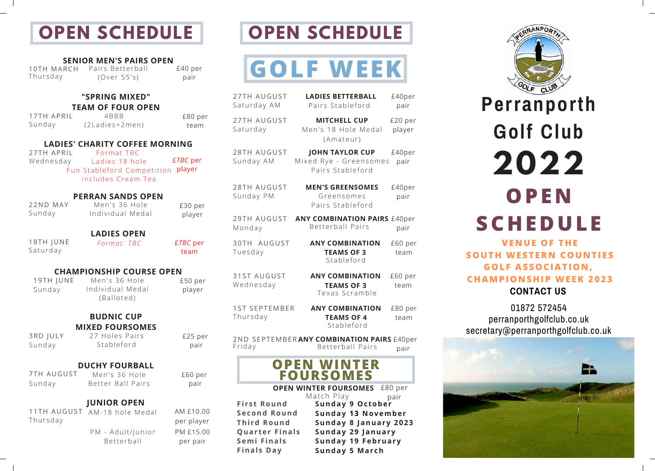### **OPEN SCHEDULE**

#### **SENIOR MEN'S PAIRS OPEN**

10TH MARCH Pairs Betterball (Over 55' s ) £40 per pair Thursday

#### **"SPRING MIXED"**

**TEAM OF FOUR OPEN** 4BBB

(2Ladies+2men) 17TH APRIL Sunday

#### **LADIES' CHARITY COFFEE MORNING**

£*TBC* per Fun Stableford Competition player Format TBC Ladies 18 hole includes Cream Tea 27TH APRIL Wednesday

#### **PERRAN SANDS OPEN** Men's 36 Hole

Individual Medal

*Format: TBC* £*TBC* per

22ND MAY Sunday

**LADIES OPEN**

18TH JUNE Saturday

#### **CHAMPIONSHIP COURSE OPEN**

19TH JUNE Sunday

Men's 36 Hole Individual Medal (Balloted)

#### **BUDNIC CUP MIXED FOURSOMES** 27 Holes Pairs

Stableford

3RD JULY Sunday

£25 per pair

#### **DUCHY FOURBALL** Men's 36 Hole

7TH AUGUST Sunday

Better Ball Pairs £60 per pair

#### **JUNIOR OPEN**

11TH AUGUST AM-18 hole Medal Thursday

> PM - Adult/Junior **Betterball**

AM £10.00 per player PM £15.00 per pair

£80 per team

£30 per player

team

£50 per player

## **OPEN SCHEDULE**

# **GOLF WEEK**

| <b>27TH AUGUST</b><br>Saturday AM | <b>LADIES BETTERBALL</b><br>Pairs Stableford                         | £40per<br>pair    |
|-----------------------------------|----------------------------------------------------------------------|-------------------|
| 27TH AUGUST<br>Saturday           | <b>MITCHELL CUP</b><br>Men's 18 Hole Medal<br>(Amateur)              | £20 per<br>player |
| 28TH AUGUST<br>Sunday AM          | <b>JOHN TAYLOR CUP</b><br>Mixed Rye - Greensomes<br>Pairs Stableford | £40per<br>pair    |
| 28TH AUGUST<br>Sunday PM          | <b>MEN'S GREENSOMES</b><br>Greensomes<br>Pairs Stableford            | £40per<br>pair    |
| 29TH AUGUST<br>Monday             | <b>ANY COMBINATION PAIRS £40per</b><br><b>Betterball Pairs</b>       | pair              |
| 30TH AUGUST<br>Tuesday            | <b>ANY COMBINATION</b><br><b>TEAMS OF 3</b><br>Stableford            | £60 per<br>team   |
| 31ST AUGUST<br>Wednesday          | <b>ANY COMBINATION</b><br><b>TEAMS OF 3</b><br>Texas Scramble        | £60 per<br>team   |
| <b>1ST SEPTEMBER</b><br>Thursday  | <b>ANY COMBINATION</b><br><b>TEAMS OF 4</b><br>Stableford            | £80 per<br>team   |
| Friday                            | 2ND SEPTEMBERANY COMBINATION PAIRS £40per<br><b>Betterball Pairs</b> | pair              |
|                                   | <b>OPEN WINTER</b><br><b>FOURSOMES</b>                               |                   |

#### **OPEN WINTER FOURSOMES** £80 per

**First Round Second Round Third Round Quar ter Final s Semi Final s Final s Day**

pair Match Play **Sunday 9 Oc tober Sunday 13 November Sunday 8 January 2023 Sunday 29 January Sunday 19 February Sunday 5 Mar ch**

## RANPOR CLUB **Perranporth Golf Club 2022 OPE N SCHEDULE VE N UE OF THE**

**CONTACT US SOUTH WESTER N COU N TI ES GOLF ASSOCIATIO N , CHAMPIO N SHIP WE EK 2023**

01872 572454 perranporthgolfclub.co.uk secretary@perranporthgolfclub.co.uk